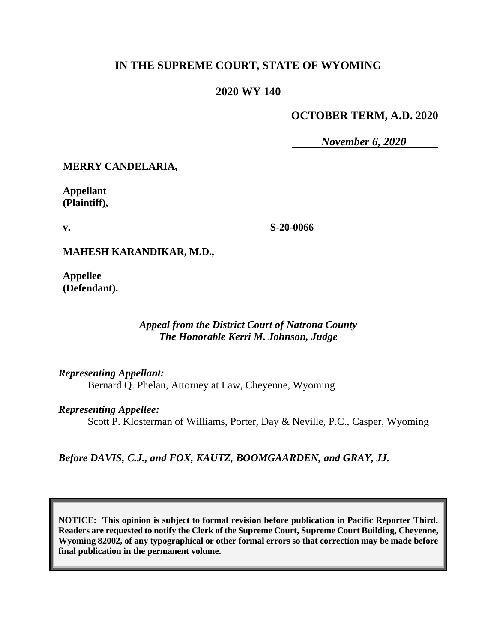# **IN THE SUPREME COURT, STATE OF WYOMING**

### **2020 WY 140**

### **OCTOBER TERM, A.D. 2020**

*November 6, 2020*

**MERRY CANDELARIA,**

**Appellant (Plaintiff),**

**v.**

**S-20-0066**

**MAHESH KARANDIKAR, M.D.,**

**Appellee (Defendant).**

#### *Appeal from the District Court of Natrona County The Honorable Kerri M. Johnson, Judge*

*Representing Appellant:*

Bernard Q. Phelan, Attorney at Law, Cheyenne, Wyoming

*Representing Appellee:*

Scott P. Klosterman of Williams, Porter, Day & Neville, P.C., Casper, Wyoming

*Before DAVIS, C.J., and FOX, KAUTZ, BOOMGAARDEN, and GRAY, JJ.*

**NOTICE: This opinion is subject to formal revision before publication in Pacific Reporter Third. Readers are requested to notify the Clerk of the Supreme Court, Supreme Court Building, Cheyenne, Wyoming 82002, of any typographical or other formal errors so that correction may be made before final publication in the permanent volume.**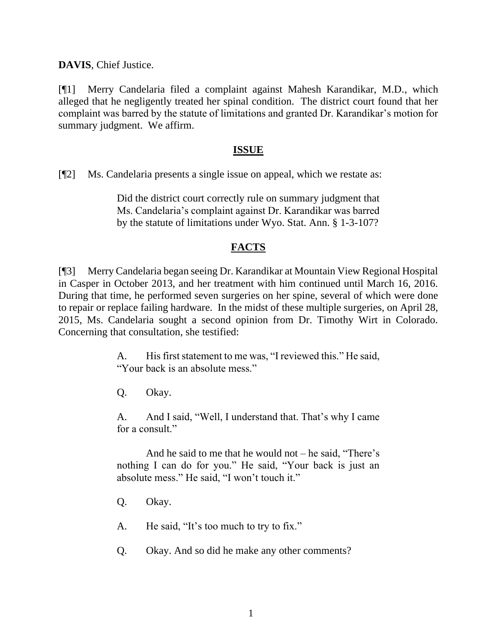**DAVIS**, Chief Justice.

[¶1] Merry Candelaria filed a complaint against Mahesh Karandikar, M.D., which alleged that he negligently treated her spinal condition. The district court found that her complaint was barred by the statute of limitations and granted Dr. Karandikar's motion for summary judgment. We affirm.

### **ISSUE**

[¶2] Ms. Candelaria presents a single issue on appeal, which we restate as:

Did the district court correctly rule on summary judgment that Ms. Candelaria's complaint against Dr. Karandikar was barred by the statute of limitations under Wyo. Stat. Ann. § 1-3-107?

## **FACTS**

[¶3] Merry Candelaria began seeing Dr. Karandikar at Mountain View Regional Hospital in Casper in October 2013, and her treatment with him continued until March 16, 2016. During that time, he performed seven surgeries on her spine, several of which were done to repair or replace failing hardware. In the midst of these multiple surgeries, on April 28, 2015, Ms. Candelaria sought a second opinion from Dr. Timothy Wirt in Colorado. Concerning that consultation, she testified:

> A. His first statement to me was, "I reviewed this." He said, "Your back is an absolute mess."

Q. Okay.

A. And I said, "Well, I understand that. That's why I came for a consult."

And he said to me that he would not – he said, "There's nothing I can do for you." He said, "Your back is just an absolute mess." He said, "I won't touch it."

- Q. Okay.
- A. He said, "It's too much to try to fix."
- Q. Okay. And so did he make any other comments?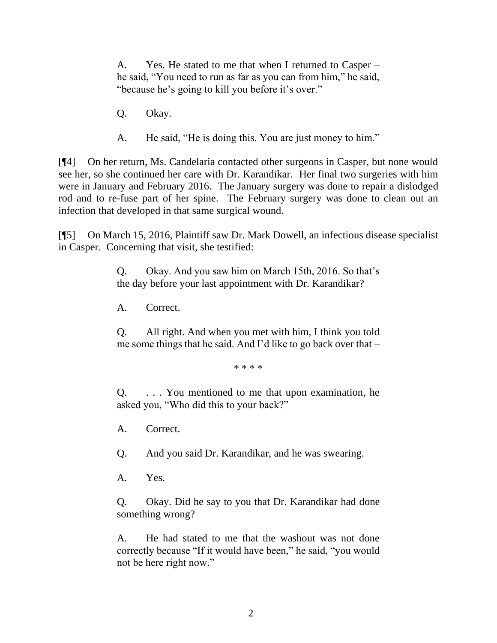A. Yes. He stated to me that when I returned to Casper – he said, "You need to run as far as you can from him," he said, "because he's going to kill you before it's over."

- Q. Okay.
- A. He said, "He is doing this. You are just money to him."

[¶4] On her return, Ms. Candelaria contacted other surgeons in Casper, but none would see her, so she continued her care with Dr. Karandikar. Her final two surgeries with him were in January and February 2016. The January surgery was done to repair a dislodged rod and to re-fuse part of her spine. The February surgery was done to clean out an infection that developed in that same surgical wound.

[¶5] On March 15, 2016, Plaintiff saw Dr. Mark Dowell, an infectious disease specialist in Casper. Concerning that visit, she testified:

> Q. Okay. And you saw him on March 15th, 2016. So that's the day before your last appointment with Dr. Karandikar?

A. Correct.

Q. All right. And when you met with him, I think you told me some things that he said. And I'd like to go back over that –

\* \* \* \*

Q. . . . You mentioned to me that upon examination, he asked you, "Who did this to your back?"

A. Correct.

Q. And you said Dr. Karandikar, and he was swearing.

A. Yes.

Q. Okay. Did he say to you that Dr. Karandikar had done something wrong?

A. He had stated to me that the washout was not done correctly because "If it would have been," he said, "you would not be here right now."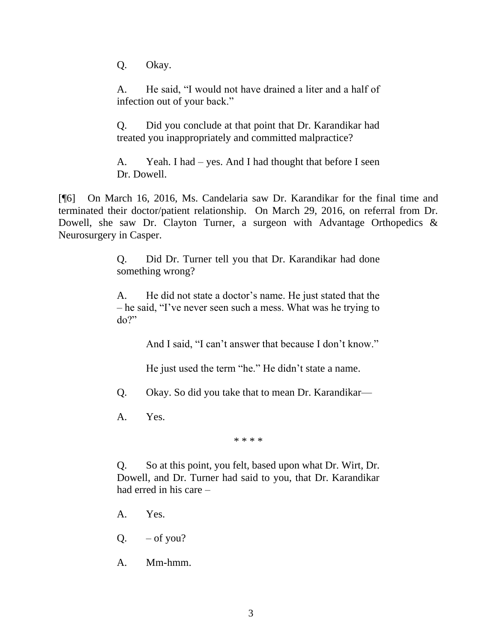Q. Okay.

A. He said, "I would not have drained a liter and a half of infection out of your back."

Q. Did you conclude at that point that Dr. Karandikar had treated you inappropriately and committed malpractice?

A. Yeah. I had – yes. And I had thought that before I seen Dr. Dowell.

[¶6] On March 16, 2016, Ms. Candelaria saw Dr. Karandikar for the final time and terminated their doctor/patient relationship. On March 29, 2016, on referral from Dr. Dowell, she saw Dr. Clayton Turner, a surgeon with Advantage Orthopedics & Neurosurgery in Casper.

> Q. Did Dr. Turner tell you that Dr. Karandikar had done something wrong?

> A. He did not state a doctor's name. He just stated that the – he said, "I've never seen such a mess. What was he trying to do?"

> > And I said, "I can't answer that because I don't know."

He just used the term "he." He didn't state a name.

Q. Okay. So did you take that to mean Dr. Karandikar—

A. Yes.

\* \* \* \*

Q. So at this point, you felt, based upon what Dr. Wirt, Dr. Dowell, and Dr. Turner had said to you, that Dr. Karandikar had erred in his care –

- A. Yes.
- $Q.$  of you?
- A. Mm-hmm.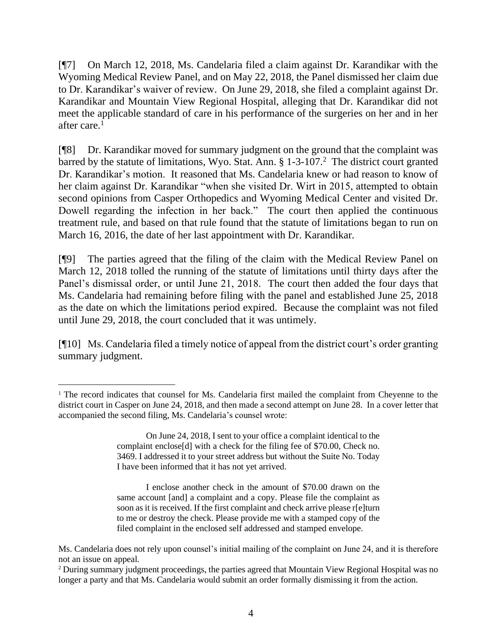[¶7] On March 12, 2018, Ms. Candelaria filed a claim against Dr. Karandikar with the Wyoming Medical Review Panel, and on May 22, 2018, the Panel dismissed her claim due to Dr. Karandikar's waiver of review. On June 29, 2018, she filed a complaint against Dr. Karandikar and Mountain View Regional Hospital, alleging that Dr. Karandikar did not meet the applicable standard of care in his performance of the surgeries on her and in her after care. $<sup>1</sup>$ </sup>

[¶8] Dr. Karandikar moved for summary judgment on the ground that the complaint was barred by the statute of limitations, Wyo. Stat. Ann. § 1-3-107.<sup>2</sup> The district court granted Dr. Karandikar's motion. It reasoned that Ms. Candelaria knew or had reason to know of her claim against Dr. Karandikar "when she visited Dr. Wirt in 2015, attempted to obtain second opinions from Casper Orthopedics and Wyoming Medical Center and visited Dr. Dowell regarding the infection in her back." The court then applied the continuous treatment rule, and based on that rule found that the statute of limitations began to run on March 16, 2016, the date of her last appointment with Dr. Karandikar.

[¶9] The parties agreed that the filing of the claim with the Medical Review Panel on March 12, 2018 tolled the running of the statute of limitations until thirty days after the Panel's dismissal order, or until June 21, 2018. The court then added the four days that Ms. Candelaria had remaining before filing with the panel and established June 25, 2018 as the date on which the limitations period expired. Because the complaint was not filed until June 29, 2018, the court concluded that it was untimely.

[¶10] Ms. Candelaria filed a timely notice of appeal from the district court's order granting summary judgment.

I enclose another check in the amount of \$70.00 drawn on the same account [and] a complaint and a copy. Please file the complaint as soon as it is received. If the first complaint and check arrive please r[e]turn to me or destroy the check. Please provide me with a stamped copy of the filed complaint in the enclosed self addressed and stamped envelope.

<sup>&</sup>lt;sup>1</sup> The record indicates that counsel for Ms. Candelaria first mailed the complaint from Cheyenne to the district court in Casper on June 24, 2018, and then made a second attempt on June 28. In a cover letter that accompanied the second filing, Ms. Candelaria's counsel wrote:

On June 24, 2018, I sent to your office a complaint identical to the complaint enclose[d] with a check for the filing fee of \$70.00, Check no. 3469. I addressed it to your street address but without the Suite No. Today I have been informed that it has not yet arrived.

Ms. Candelaria does not rely upon counsel's initial mailing of the complaint on June 24, and it is therefore not an issue on appeal.

<sup>2</sup> During summary judgment proceedings, the parties agreed that Mountain View Regional Hospital was no longer a party and that Ms. Candelaria would submit an order formally dismissing it from the action.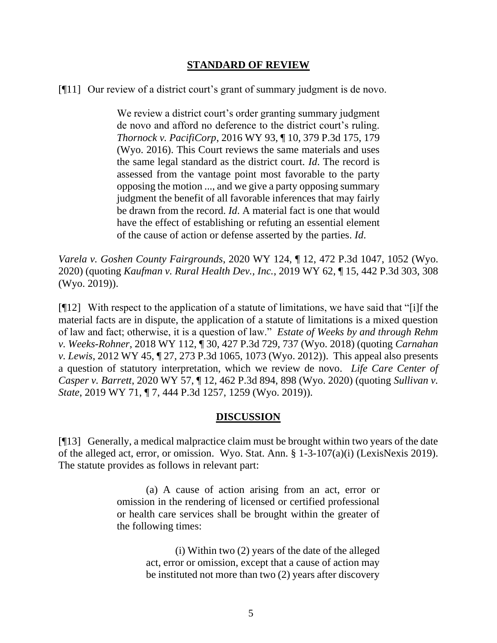#### **STANDARD OF REVIEW**

[¶11] Our review of a district court's grant of summary judgment is de novo.

We review a district court's order granting summary judgment de novo and afford no deference to the district court's ruling. *Thornock v. PacifiCorp*[, 2016 WY 93, ¶ 10, 379 P.3d 175, 179](http://www.westlaw.com/Link/Document/FullText?findType=Y&serNum=2039785923&pubNum=0004645&originatingDoc=I050886c0192511e9a573b12ad1dad226&refType=RP&fi=co_pp_sp_4645_179&originationContext=document&vr=3.0&rs=cblt1.0&transitionType=DocumentItem&contextData=(sc.Search)#co_pp_sp_4645_179)  [\(Wyo. 2016\).](http://www.westlaw.com/Link/Document/FullText?findType=Y&serNum=2039785923&pubNum=0004645&originatingDoc=I050886c0192511e9a573b12ad1dad226&refType=RP&fi=co_pp_sp_4645_179&originationContext=document&vr=3.0&rs=cblt1.0&transitionType=DocumentItem&contextData=(sc.Search)#co_pp_sp_4645_179) This Court reviews the same materials and uses the same legal standard as the district court. *[Id](http://www.westlaw.com/Link/Document/FullText?findType=Y&serNum=2039785923&pubNum=0006431&originatingDoc=I050886c0192511e9a573b12ad1dad226&refType=RP&originationContext=document&vr=3.0&rs=cblt1.0&transitionType=DocumentItem&contextData=(sc.Search))*. The record is assessed from the vantage point most favorable to the party opposing the motion ..., and we give a party opposing summary judgment the benefit of all favorable inferences that may fairly be drawn from the record. *[Id](http://www.westlaw.com/Link/Document/FullText?findType=Y&serNum=2039785923&pubNum=0006431&originatingDoc=I050886c0192511e9a573b12ad1dad226&refType=RP&originationContext=document&vr=3.0&rs=cblt1.0&transitionType=DocumentItem&contextData=(sc.Search))*. A material fact is one that would have the effect of establishing or refuting an essential element of the cause of action or defense asserted by the parties. *[Id](http://www.westlaw.com/Link/Document/FullText?findType=Y&serNum=2039785923&pubNum=0006431&originatingDoc=I050886c0192511e9a573b12ad1dad226&refType=RP&originationContext=document&vr=3.0&rs=cblt1.0&transitionType=DocumentItem&contextData=(sc.Search))*.

*Varela v. Goshen County Fairgrounds*, 2020 WY 124, ¶ 12, 472 P.3d 1047, 1052 (Wyo. 2020) (quoting *Kaufman v. Rural Health Dev., Inc.*[, 2019 WY 62, ¶ 15, 442 P.3d 303, 308](http://www.westlaw.com/Link/Document/FullText?findType=Y&serNum=2048437656&pubNum=0004645&originatingDoc=Iaf5141b0fec211ea90aaf658db4bc3dc&refType=RP&fi=co_pp_sp_4645_307&originationContext=document&vr=3.0&rs=cblt1.0&transitionType=DocumentItem&contextData=(sc.Search)#co_pp_sp_4645_307)  [\(Wyo. 2019\)\)](http://www.westlaw.com/Link/Document/FullText?findType=Y&serNum=2048437656&pubNum=0004645&originatingDoc=Iaf5141b0fec211ea90aaf658db4bc3dc&refType=RP&fi=co_pp_sp_4645_307&originationContext=document&vr=3.0&rs=cblt1.0&transitionType=DocumentItem&contextData=(sc.Search)#co_pp_sp_4645_307).

[¶12] With respect to the application of a statute of limitations, we have said that "[i]f the material facts are in dispute, the application of a statute of limitations is a mixed question of law and fact; otherwise, it is a question of law." *Estate of Weeks by and through Rehm v. Weeks-Rohner*, 2018 WY 112, ¶ 30, 427 P.3d 729, 737 (Wyo. 2018) (quoting *[Carnahan](http://www.westlaw.com/Link/Document/FullText?findType=Y&serNum=2027383828&pubNum=0004645&originatingDoc=I583517e0c2af11e89a72e3efe6364bb2&refType=RP&fi=co_pp_sp_4645_1073&originationContext=document&vr=3.0&rs=cblt1.0&transitionType=DocumentItem&contextData=(sc.Keycite)#co_pp_sp_4645_1073)  v. Lewis*[, 2012 WY 45, ¶ 27, 273 P.3d 1065, 1073 \(Wyo. 2012\)\)](http://www.westlaw.com/Link/Document/FullText?findType=Y&serNum=2027383828&pubNum=0004645&originatingDoc=I583517e0c2af11e89a72e3efe6364bb2&refType=RP&fi=co_pp_sp_4645_1073&originationContext=document&vr=3.0&rs=cblt1.0&transitionType=DocumentItem&contextData=(sc.Keycite)#co_pp_sp_4645_1073). This appeal also presents a question of statutory interpretation, which we review de novo. *Life Care Center of Casper v. Barrett*, 2020 WY 57, ¶ 12, 462 P.3d 894, 898 (Wyo. 2020) (quoting *[Sullivan v.](http://www.westlaw.com/Link/Document/FullText?findType=Y&serNum=2048711616&pubNum=0004645&originatingDoc=I9e9c01f08f3e11ea8b0f97acce53a660&refType=RP&fi=co_pp_sp_4645_1259&originationContext=document&vr=3.0&rs=cblt1.0&transitionType=DocumentItem&contextData=(sc.Search)#co_pp_sp_4645_1259)  State*[, 2019 WY 71, ¶ 7, 444 P.3d 1257, 1259 \(Wyo. 2019\)\)](http://www.westlaw.com/Link/Document/FullText?findType=Y&serNum=2048711616&pubNum=0004645&originatingDoc=I9e9c01f08f3e11ea8b0f97acce53a660&refType=RP&fi=co_pp_sp_4645_1259&originationContext=document&vr=3.0&rs=cblt1.0&transitionType=DocumentItem&contextData=(sc.Search)#co_pp_sp_4645_1259).

## **DISCUSSION**

[¶13] Generally, a medical malpractice claim must be brought within two years of the date of the alleged act, error, or omission. Wyo. Stat. Ann. § 1-3-107(a)(i) (LexisNexis 2019). The statute provides as follows in relevant part:

> (a) A cause of action arising from an act, error or omission in the rendering of licensed or certified professional or health care services shall be brought within the greater of the following times:

> > (i) Within two (2) years of the date of the alleged act, error or omission, except that a cause of action may be instituted not more than two (2) years after discovery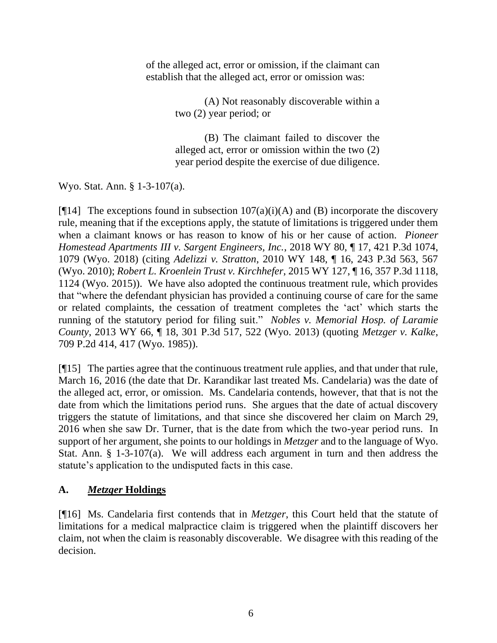of the alleged act, error or omission, if the claimant can establish that the alleged act, error or omission was:

> (A) Not reasonably discoverable within a two (2) year period; or

> (B) The claimant failed to discover the alleged act, error or omission within the two (2) year period despite the exercise of due diligence.

Wyo. Stat. Ann. § 1-3-107(a).

[ $[14]$ ] The exceptions found in subsection  $107(a)(i)(A)$  and (B) incorporate the discovery rule, meaning that if the exceptions apply, the statute of limitations is triggered under them when a claimant knows or has reason to know of his or her cause of action. *Pioneer Homestead Apartments III v. Sargent Engineers, Inc.*, 2018 WY 80, ¶ 17, 421 P.3d 1074, 1079 (Wyo. 2018) (citing *Adelizzi v. Stratton*, 2010 WY 148, ¶ 16, 243 P.3d 563, 567 (Wyo. 2010); *Robert L. Kroenlein Trust v. Kirchhefer*, 2015 WY 127, ¶ 16, 357 P.3d 1118, 1124 (Wyo. 2015)). We have also adopted the continuous treatment rule, which provides that "where the defendant physician has provided a continuing course of care for the same or related complaints, the cessation of treatment completes the 'act' which starts the running of the statutory period for filing suit." *Nobles v. Memorial Hosp. of Laramie County*, 2013 WY 66, ¶ 18, 301 P.3d 517, 522 (Wyo. 2013) (quoting *[Metzger v. Kalke](http://www.westlaw.com/Link/Document/FullText?findType=Y&serNum=1985155641&pubNum=0000661&originatingDoc=I7e0e8394c78e11e2a160cacff148223f&refType=RP&fi=co_pp_sp_661_417&originationContext=document&vr=3.0&rs=cblt1.0&transitionType=DocumentItem&contextData=(sc.Search)#co_pp_sp_661_417)*, [709 P.2d 414, 417 \(Wyo. 1985\)\)](http://www.westlaw.com/Link/Document/FullText?findType=Y&serNum=1985155641&pubNum=0000661&originatingDoc=I7e0e8394c78e11e2a160cacff148223f&refType=RP&fi=co_pp_sp_661_417&originationContext=document&vr=3.0&rs=cblt1.0&transitionType=DocumentItem&contextData=(sc.Search)#co_pp_sp_661_417).

[¶15] The parties agree that the continuous treatment rule applies, and that under that rule, March 16, 2016 (the date that Dr. Karandikar last treated Ms. Candelaria) was the date of the alleged act, error, or omission. Ms. Candelaria contends, however, that that is not the date from which the limitations period runs. She argues that the date of actual discovery triggers the statute of limitations, and that since she discovered her claim on March 29, 2016 when she saw Dr. Turner, that is the date from which the two-year period runs. In support of her argument, she points to our holdings in *Metzger* and to the language of Wyo. Stat. Ann. § 1-3-107(a). We will address each argument in turn and then address the statute's application to the undisputed facts in this case.

# **A.** *Metzger* **Holdings**

[¶16] Ms. Candelaria first contends that in *Metzger*, this Court held that the statute of limitations for a medical malpractice claim is triggered when the plaintiff discovers her claim, not when the claim is reasonably discoverable. We disagree with this reading of the decision.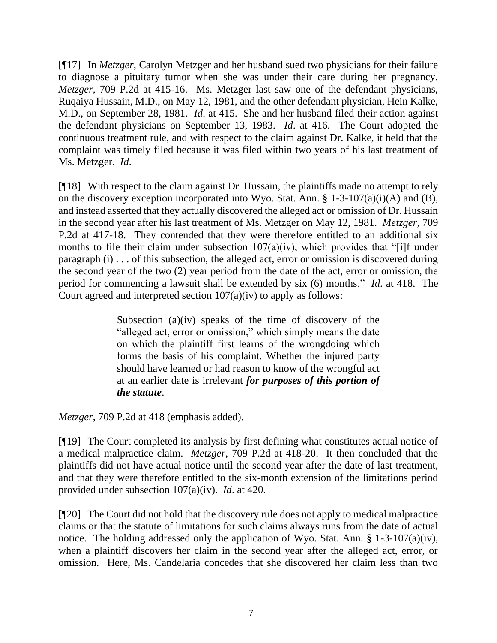[¶17] In *Metzger*, Carolyn Metzger and her husband sued two physicians for their failure to diagnose a pituitary tumor when she was under their care during her pregnancy. *Metzger*, 709 P.2d at 415-16. Ms. Metzger last saw one of the defendant physicians, Ruqaiya Hussain, M.D., on May 12, 1981, and the other defendant physician, Hein Kalke, M.D., on September 28, 1981. *Id*. at 415. She and her husband filed their action against the defendant physicians on September 13, 1983. *Id*. at 416. The Court adopted the continuous treatment rule, and with respect to the claim against Dr. Kalke, it held that the complaint was timely filed because it was filed within two years of his last treatment of Ms. Metzger. *Id*.

[¶18] With respect to the claim against Dr. Hussain, the plaintiffs made no attempt to rely on the discovery exception incorporated into Wyo. Stat. Ann.  $\S 1-3-107(a)(i)(A)$  and (B), and instead asserted that they actually discovered the alleged act or omission of Dr. Hussain in the second year after his last treatment of Ms. Metzger on May 12, 1981. *Metzger*, 709 P.2d at 417-18. They contended that they were therefore entitled to an additional six months to file their claim under subsection  $107(a)(iv)$ , which provides that "[i]f under paragraph (i) . . . of this subsection, the alleged act, error or omission is discovered during the second year of the two (2) year period from the date of the act, error or omission, the period for commencing a lawsuit shall be extended by six (6) months." *Id*. at 418. The Court agreed and interpreted section  $107(a)(iv)$  to apply as follows:

> Subsection (a)(iv) speaks of the time of discovery of the "alleged act, error or omission," which simply means the date on which the plaintiff first learns of the wrongdoing which forms the basis of his complaint. Whether the injured party should have learned or had reason to know of the wrongful act at an earlier date is irrelevant *for purposes of this portion of the statute*.

*Metzger*, 709 P.2d at 418 (emphasis added).

[¶19] The Court completed its analysis by first defining what constitutes actual notice of a medical malpractice claim. *Metzger*, 709 P.2d at 418-20. It then concluded that the plaintiffs did not have actual notice until the second year after the date of last treatment, and that they were therefore entitled to the six-month extension of the limitations period provided under subsection 107(a)(iv). *Id*. at 420.

[¶20] The Court did not hold that the discovery rule does not apply to medical malpractice claims or that the statute of limitations for such claims always runs from the date of actual notice. The holding addressed only the application of Wyo. Stat. Ann. § 1-3-107(a)(iv), when a plaintiff discovers her claim in the second year after the alleged act, error, or omission. Here, Ms. Candelaria concedes that she discovered her claim less than two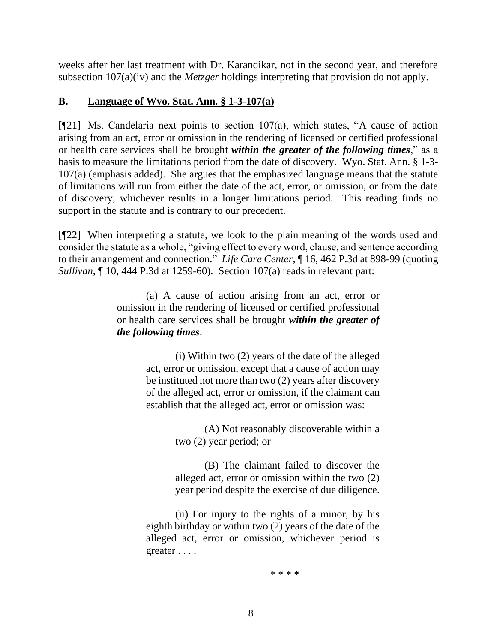weeks after her last treatment with Dr. Karandikar, not in the second year, and therefore subsection 107(a)(iv) and the *Metzger* holdings interpreting that provision do not apply.

## **B. Language of Wyo. Stat. Ann. § 1-3-107(a)**

 $[$ [[21] Ms. Candelaria next points to section 107(a), which states, "A cause of action arising from an act, error or omission in the rendering of licensed or certified professional or health care services shall be brought *within the greater of the following times*," as a basis to measure the limitations period from the date of discovery. Wyo. Stat. Ann. § 1-3- 107(a) (emphasis added). She argues that the emphasized language means that the statute of limitations will run from either the date of the act, error, or omission, or from the date of discovery, whichever results in a longer limitations period. This reading finds no support in the statute and is contrary to our precedent.

[¶22] When interpreting a statute, we look to the plain meaning of the words used and consider the statute as a whole, "giving effect to every word, clause, and sentence according to their arrangement and connection." *Life Care Center*, ¶ 16, 462 P.3d at 898-99 (quoting *Sullivan*[, ¶ 10, 444 P.3d at 1259-60\)](http://www.westlaw.com/Link/Document/FullText?findType=Y&serNum=2048711616&pubNum=0004645&originatingDoc=I9e9c01f08f3e11ea8b0f97acce53a660&refType=RP&fi=co_pp_sp_4645_1259&originationContext=document&vr=3.0&rs=cblt1.0&transitionType=DocumentItem&contextData=(sc.Search)#co_pp_sp_4645_1259). Section 107(a) reads in relevant part:

> (a) A cause of action arising from an act, error or omission in the rendering of licensed or certified professional or health care services shall be brought *within the greater of the following times*:

> > (i) Within two (2) years of the date of the alleged act, error or omission, except that a cause of action may be instituted not more than two (2) years after discovery of the alleged act, error or omission, if the claimant can establish that the alleged act, error or omission was:

> > > (A) Not reasonably discoverable within a two (2) year period; or

> > > (B) The claimant failed to discover the alleged act, error or omission within the two (2) year period despite the exercise of due diligence.

(ii) For injury to the rights of a minor, by his eighth birthday or within two (2) years of the date of the alleged act, error or omission, whichever period is greater . . . .

\* \* \* \*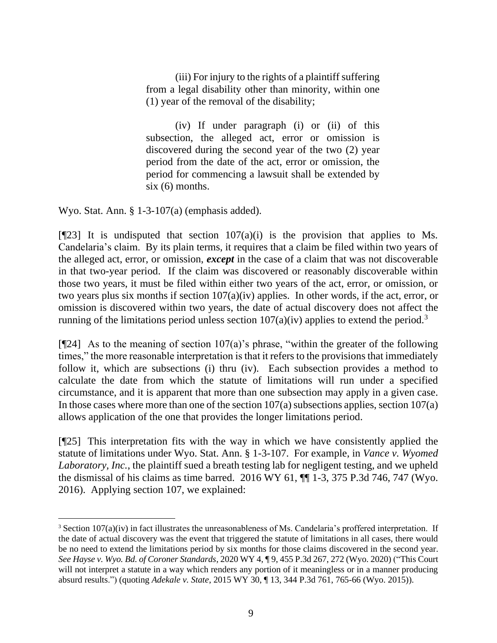(iii) For injury to the rights of a plaintiff suffering from a legal disability other than minority, within one (1) year of the removal of the disability;

(iv) If under paragraph (i) or (ii) of this subsection, the alleged act, error or omission is discovered during the second year of the two (2) year period from the date of the act, error or omission, the period for commencing a lawsuit shall be extended by  $six(6)$  months.

Wyo. Stat. Ann. § 1-3-107(a) (emphasis added).

[ $[$ 23] It is undisputed that section  $107(a)(i)$  is the provision that applies to Ms. Candelaria's claim. By its plain terms, it requires that a claim be filed within two years of the alleged act, error, or omission, *except* in the case of a claim that was not discoverable in that two-year period. If the claim was discovered or reasonably discoverable within those two years, it must be filed within either two years of the act, error, or omission, or two years plus six months if section 107(a)(iv) applies. In other words, if the act, error, or omission is discovered within two years, the date of actual discovery does not affect the running of the limitations period unless section  $107(a)(iv)$  applies to extend the period.<sup>3</sup>

[ $[$ 24] As to the meaning of section 107(a)'s phrase, "within the greater of the following times," the more reasonable interpretation is that it refers to the provisions that immediately follow it, which are subsections (i) thru (iv). Each subsection provides a method to calculate the date from which the statute of limitations will run under a specified circumstance, and it is apparent that more than one subsection may apply in a given case. In those cases where more than one of the section  $107(a)$  subsections applies, section  $107(a)$ allows application of the one that provides the longer limitations period.

[¶25] This interpretation fits with the way in which we have consistently applied the statute of limitations under Wyo. Stat. Ann. § 1-3-107. For example, in *Vance v. Wyomed Laboratory, Inc.*, the plaintiff sued a breath testing lab for negligent testing, and we upheld the dismissal of his claims as time barred.  $2016$  WY 61,  $\P$  $1-3$ , 375 P.3d 746, 747 (Wyo. 2016). Applying section 107, we explained:

<sup>&</sup>lt;sup>3</sup> Section 107(a)(iv) in fact illustrates the unreasonableness of Ms. Candelaria's proffered interpretation. If the date of actual discovery was the event that triggered the statute of limitations in all cases, there would be no need to extend the limitations period by six months for those claims discovered in the second year. *See Hayse v. Wyo. Bd. of Coroner Standards*, 2020 WY 4, ¶ 9, 455 P.3d 267, 272 (Wyo. 2020) ("This Court will not interpret a statute in a way which renders any portion of it meaningless or in a manner producing absurd results.") (quoting *Adekale v. State*[, 2015 WY 30, ¶ 13, 344 P.3d 761, 765-66](http://www.westlaw.com/Link/Document/FullText?findType=Y&serNum=2035504869&pubNum=0004645&originatingDoc=I6cbad250326511eaa49a848616f1a2d2&refType=RP&fi=co_pp_sp_4645_765&originationContext=document&vr=3.0&rs=cblt1.0&transitionType=DocumentItem&contextData=(sc.Search)#co_pp_sp_4645_765) (Wyo. 2015)).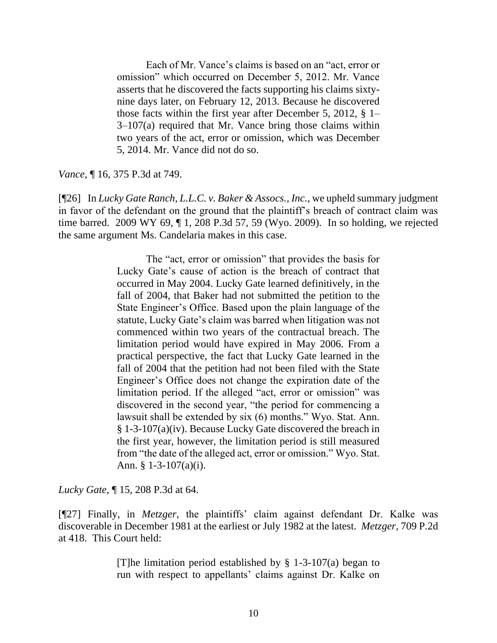Each of Mr. Vance's claims is based on an "act, error or omission" which occurred on December 5, 2012. Mr. Vance asserts that he discovered the facts supporting his claims sixtynine days later, on February 12, 2013. Because he discovered those facts within the first year after December 5, 2012, § 1–  $3-107(a)$  required that Mr. Vance bring those claims within two years of the act, error or omission, which was December 5, 2014. Mr. Vance did not do so.

*Vance*, ¶ 16, 375 P.3d at 749.

[¶26] In *Lucky Gate Ranch, L.L.C. v. Baker & Assocs., Inc.*, we upheld summary judgment in favor of the defendant on the ground that the plaintiff's breach of contract claim was time barred. 2009 WY 69, ¶ 1, 208 P.3d 57, 59 (Wyo. 2009). In so holding, we rejected the same argument Ms. Candelaria makes in this case.

> The "act, error or omission" that provides the basis for Lucky Gate's cause of action is the breach of contract that occurred in May 2004. Lucky Gate learned definitively, in the fall of 2004, that Baker had not submitted the petition to the State Engineer's Office. Based upon the plain language of the statute, Lucky Gate's claim was barred when litigation was not commenced within two years of the contractual breach. The limitation period would have expired in May 2006. From a practical perspective, the fact that Lucky Gate learned in the fall of 2004 that the petition had not been filed with the State Engineer's Office does not change the expiration date of the limitation period. If the alleged "act, error or omission" was discovered in the second year, "the period for commencing a lawsuit shall be extended by six (6) months." Wyo. Stat. Ann. § 1-3-107(a)(iv). Because Lucky Gate discovered the breach in the first year, however, the limitation period is still measured from "the date of the alleged act, error or omission." Wyo. Stat. Ann. § 1-3-107(a)(i).

*Lucky Gate*, ¶ 15, 208 P.3d at 64.

[¶27] Finally, in *Metzger*, the plaintiffs' claim against defendant Dr. Kalke was discoverable in December 1981 at the earliest or July 1982 at the latest. *Metzger*, 709 P.2d at 418. This Court held:

> [T]he limitation period established by  $\S$  1-3-107(a) began to run with respect to appellants' claims against Dr. Kalke on